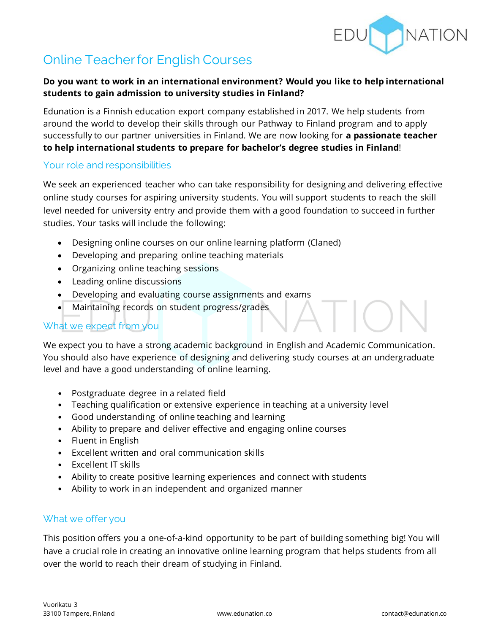

# **Online Teacher for English Courses**

## **Do you want to work in an international environment? Would you like to help international students to gain admission to university studies in Finland?**

Edunation is a Finnish education export company established in 2017. We help students from around the world to develop their skills through our Pathway to Finland program and to apply successfully to our partner universities in Finland. We are now looking for **a passionate teacher to help international students to prepare for bachelor's degree studies in Finland**!

## Your role and responsibilities

We seek an experienced teacher who can take responsibility for designing and delivering effective online study courses for aspiring university students. You will support students to reach the skill level needed for university entry and provide them with a good foundation to succeed in further studies. Your tasks will include the following:

- Designing online courses on our online learning platform (Claned)
- Developing and preparing online teaching materials
- Organizing online teaching sessions
- Leading online discussions
- Developing and evaluating course assignments and exams
- Maintaining records on student progress/grades

## What we expect from you

We expect you to have a strong academic background in English and Academic Communication. You should also have experience of designing and delivering study courses at an undergraduate level and have a good understanding of online learning.

- Postgraduate degree in a related field
- Teaching qualification or extensive experience in teaching at a university level
- Good understanding of online teaching and learning
- Ability to prepare and deliver effective and engaging online courses
- Fluent in English
- Excellent written and oral communication skills
- Excellent IT skills
- Ability to create positive learning experiences and connect with students
- Ability to work in an independent and organized manner

## What we offer you

This position offers you a one-of-a-kind opportunity to be part of building something big! You will have a crucial role in creating an innovative online learning program that helps students from all over the world to reach their dream of studying in Finland.